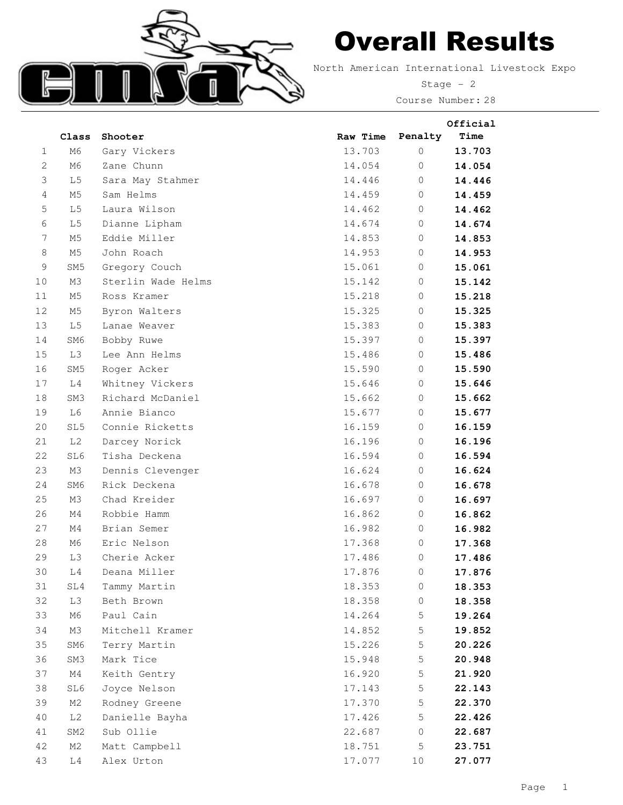

## Overall Results

North American International Livestock Expo

Stage - 2 Course Number: 28

**Official**

|                | Class           | Shooter            | Raw Time | Penalty     | Time   |
|----------------|-----------------|--------------------|----------|-------------|--------|
| 1              | M6              | Gary Vickers       | 13.703   | $\circ$     | 13.703 |
| 2              | M6              | Zane Chunn         | 14.054   | 0           | 14.054 |
| 3              | L <sub>5</sub>  | Sara May Stahmer   | 14.446   | $\circ$     | 14.446 |
| $\overline{4}$ | M5              | Sam Helms          | 14.459   | $\circ$     | 14.459 |
| 5              | L <sub>5</sub>  | Laura Wilson       | 14.462   | $\circ$     | 14.462 |
| 6              | L <sub>5</sub>  | Dianne Lipham      | 14.674   | $\circ$     | 14.674 |
| 7              | M5              | Eddie Miller       | 14.853   | $\circ$     | 14.853 |
| 8              | M5              | John Roach         | 14.953   | 0           | 14.953 |
| $\mathsf 9$    | SM <sub>5</sub> | Gregory Couch      | 15.061   | $\circ$     | 15.061 |
| 10             | M3              | Sterlin Wade Helms | 15.142   | $\circ$     | 15.142 |
| 11             | M5              | Ross Kramer        | 15.218   | $\circ$     | 15.218 |
| 12             | M5              | Byron Walters      | 15.325   | $\circ$     | 15.325 |
| 13             | L5              | Lanae Weaver       | 15.383   | $\mathbf 0$ | 15.383 |
| 14             | SM6             | Bobby Ruwe         | 15.397   | $\circ$     | 15.397 |
| 15             | L3              | Lee Ann Helms      | 15.486   | $\circ$     | 15.486 |
| 16             | SM <sub>5</sub> | Roger Acker        | 15.590   | $\circ$     | 15.590 |
| 17             | L4              | Whitney Vickers    | 15.646   | $\circ$     | 15.646 |
| 18             | SM3             | Richard McDaniel   | 15.662   | $\circ$     | 15.662 |
| 19             | L6              | Annie Bianco       | 15.677   | $\circ$     | 15.677 |
| 20             | SL5             | Connie Ricketts    | 16.159   | $\mathbf 0$ | 16.159 |
| 21             | L <sub>2</sub>  | Darcey Norick      | 16.196   | $\circ$     | 16.196 |
| 22             | SL6             | Tisha Deckena      | 16.594   | $\circ$     | 16.594 |
| 23             | M3              | Dennis Clevenger   | 16.624   | $\circ$     | 16.624 |
| 24             | SM6             | Rick Deckena       | 16.678   | $\circ$     | 16.678 |
| 25             | M3              | Chad Kreider       | 16.697   | $\circ$     | 16.697 |
| 26             | M4              | Robbie Hamm        | 16.862   | $\circ$     | 16.862 |
| 27             | M4              | Brian Semer        | 16.982   | $\circ$     | 16.982 |
| 28             | M6              | Eric Nelson        | 17.368   | 0           | 17.368 |
| 29             | L3              | Cherie Acker       | 17.486   | 0           | 17.486 |
| 30             | L4              | Deana Miller       | 17.876   | $\mathbf 0$ | 17.876 |
| 31             | SL4             | Tammy Martin       | 18.353   | ()          | 18.353 |
| 32             | L3              | Beth Brown         | 18.358   | 0           | 18.358 |
| 33             | M6              | Paul Cain          | 14.264   | 5           | 19.264 |
| 34             | M3              | Mitchell Kramer    | 14.852   | 5           | 19.852 |
| 35             | SM6             | Terry Martin       | 15.226   | 5           | 20.226 |
| 36             | SM3             | Mark Tice          | 15.948   | 5           | 20.948 |
| 37             | M4              | Keith Gentry       | 16.920   | 5           | 21.920 |
| 38             | SL6             | Joyce Nelson       | 17.143   | 5           | 22.143 |
| 39             | M2              | Rodney Greene      | 17.370   | 5           | 22.370 |
| 40             | L2              | Danielle Bayha     | 17.426   | 5           | 22.426 |
| 41             | SM2             | Sub Ollie          | 22.687   | $\mathbf 0$ | 22.687 |
| 42             | M2              | Matt Campbell      | 18.751   | 5           | 23.751 |
| 43             | L4              | Alex Urton         | 17.077   | 10          | 27.077 |